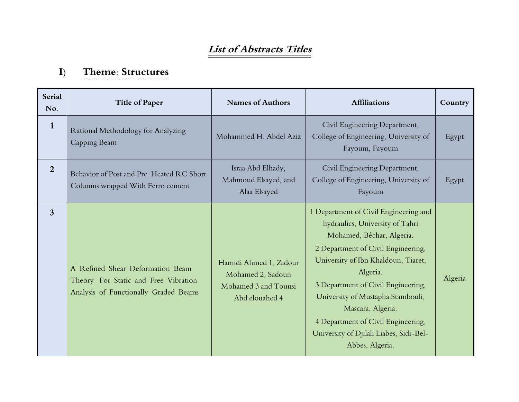## **List of Abstracts Titles**

#### **I) Theme: Structures**

| <b>Serial</b><br>No. | <b>Title of Paper</b>                                                                                             | <b>Names of Authors</b>                                                               | <b>Affiliations</b>                                                                                                                                                                                                                                                                                                                                                                                | Country |
|----------------------|-------------------------------------------------------------------------------------------------------------------|---------------------------------------------------------------------------------------|----------------------------------------------------------------------------------------------------------------------------------------------------------------------------------------------------------------------------------------------------------------------------------------------------------------------------------------------------------------------------------------------------|---------|
| $\mathbf{1}$         | Rational Methodology for Analyzing<br>Capping Beam                                                                | Mohammed H. Abdel Aziz                                                                | Civil Engineering Department,<br>College of Engineering, University of<br>Fayoum, Fayoum                                                                                                                                                                                                                                                                                                           | Egypt   |
| $\overline{2}$       | Behavior of Post and Pre-Heated RC Short<br>Columns wrapped With Ferro cement                                     | Israa Abd Elhady,<br>Mahmoud Elsayed, and<br>Alaa Elsayed                             | Civil Engineering Department,<br>College of Engineering, University of<br>Fayoum                                                                                                                                                                                                                                                                                                                   | Egypt   |
| $\overline{3}$       | A Refined Shear Deformation Beam<br>Theory For Static and Free Vibration<br>Analysis of Functionally Graded Beams | Hamidi Ahmed 1, Zidour<br>Mohamed 2, Sadoun<br>Mohamed 3 and Tounsi<br>Abd elouahed 4 | 1 Department of Civil Engineering and<br>hydraulics, University of Tahri<br>Mohamed, Béchar, Algeria.<br>2 Department of Civil Engineering,<br>University of Ibn Khaldoun, Tiaret,<br>Algeria.<br>3 Department of Civil Engineering,<br>University of Mustapha Stambouli,<br>Mascara, Algeria.<br>4 Department of Civil Engineering,<br>University of Djilali Liabes, Sidi-Bel-<br>Abbes, Algeria. | Algeria |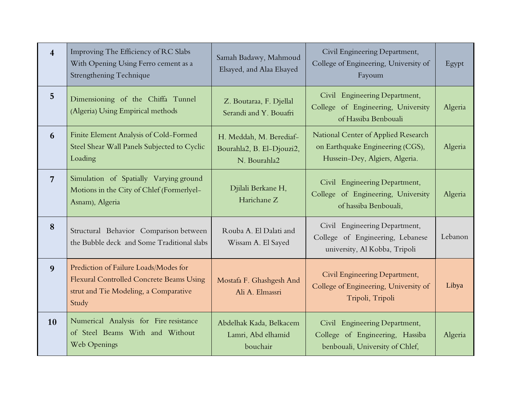| $\overline{\mathbf{4}}$ | Improving The Efficiency of RC Slabs<br>With Opening Using Ferro cement as a<br>Strengthening Technique                                    | Samah Badawy, Mahmoud<br>Elsayed, and Alaa Elsayed                   | Civil Engineering Department,<br>College of Engineering, University of<br>Fayoum                          | Egypt   |
|-------------------------|--------------------------------------------------------------------------------------------------------------------------------------------|----------------------------------------------------------------------|-----------------------------------------------------------------------------------------------------------|---------|
| 5 <sup>5</sup>          | Dimensioning of the Chiffa Tunnel<br>(Algeria) Using Empirical methods                                                                     | Z. Boutaraa, F. Djellal<br>Serandi and Y. Bouafri                    | Civil Engineering Department,<br>College of Engineering, University<br>of Hassiba Benbouali               | Algeria |
| 6                       | Finite Element Analysis of Cold-Formed<br>Steel Shear Wall Panels Subjected to Cyclic<br>Loading                                           | H. Meddah, M. Berediaf-<br>Bourahla2, B. El-Djouzi2,<br>N. Bourahla2 | National Center of Applied Research<br>on Earthquake Engineering (CGS),<br>Hussein-Dey, Algiers, Algeria. | Algeria |
| $\overline{7}$          | Simulation of Spatially Varying ground<br>Motions in the City of Chlef (Formerlyel-<br>Asnam), Algeria                                     | Djilali Berkane H,<br>Harichane Z                                    | Civil Engineering Department,<br>College of Engineering, University<br>of hassiba Benbouali,              | Algeria |
| 8                       | Structural Behavior Comparison between<br>the Bubble deck and Some Traditional slabs                                                       | Rouba A. El Dalati and<br>Wissam A. El Sayed                         | Civil Engineering Department,<br>College of Engineering, Lebanese<br>university, Al Kobba, Tripoli        | Lebanon |
| 9                       | Prediction of Failure Loads/Modes for<br><b>Flexural Controlled Concrete Beams Using</b><br>strut and Tie Modeling, a Comparative<br>Study | Mostafa F. Ghashgesh And<br>Ali A. Elmassri                          | Civil Engineering Department,<br>College of Engineering, University of<br>Tripoli, Tripoli                | Libya   |
| 10                      | Numerical Analysis for Fire resistance<br>of Steel Beams With and Without<br>Web Openings                                                  | Abdelhak Kada, Belkacem<br>Lamri, Abd elhamid<br>bouchair            | Civil Engineering Department,<br>College of Engineering, Hassiba<br>benbouali, University of Chlef,       | Algeria |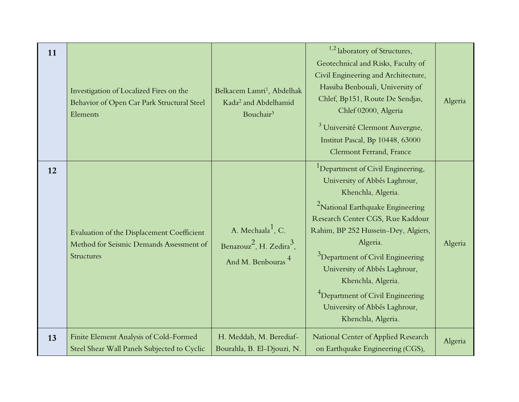| 11 | Investigation of Localized Fires on the<br>Behavior of Open Car Park Structural Steel<br>Elements           | Belkacem Lamri <sup>1</sup> , Abdelhak<br>Kada <sup>2</sup> and Abdelhamid<br>Bouchair <sup>3</sup>                | $1,2$ laboratory of Structures,<br>Geotechnical and Risks, Faculty of<br>Civil Engineering and Architecture,<br>Hassiba Benbouali, University of<br>Chlef, Bp151, Route De Sendjas,<br>Chlef 02000, Algeria<br><sup>3</sup> Université Clermont Auvergne,<br>Institut Pascal, Bp 10448, 63000<br>Clermont Ferrand, France                                                                                                                                 | Algeria |
|----|-------------------------------------------------------------------------------------------------------------|--------------------------------------------------------------------------------------------------------------------|-----------------------------------------------------------------------------------------------------------------------------------------------------------------------------------------------------------------------------------------------------------------------------------------------------------------------------------------------------------------------------------------------------------------------------------------------------------|---------|
| 12 | Evaluation of the Displacement Coefficient<br>Method for Seismic Demands Assessment of<br><b>Structures</b> | A. Mechaala <sup>1</sup> , C.<br>Benazouz <sup>2</sup> , H. Zedira <sup>3</sup> ,<br>And M. Benbouras <sup>4</sup> | <sup>1</sup> Department of Civil Engineering,<br>University of Abbés Laghrour,<br>Khenchla, Algeria.<br><sup>2</sup> National Earthquake Engineering<br>Research Center CGS, Rue Kaddour<br>Rahim, BP 252 Hussein-Dey, Algiers,<br>Algeria.<br><sup>3</sup> Department of Civil Engineering<br>University of Abbés Laghrour,<br>Khenchla, Algeria.<br><sup>4</sup> Department of Civil Engineering<br>University of Abbés Laghrour,<br>Khenchla, Algeria. | Algeria |
| 13 | Finite Element Analysis of Cold-Formed<br>Steel Shear Wall Panels Subjected to Cyclic                       | H. Meddah, M. Berediaf-<br>Bourahla, B. El-Djouzi, N.                                                              | National Center of Applied Research<br>on Earthquake Engineering (CGS),                                                                                                                                                                                                                                                                                                                                                                                   | Algeria |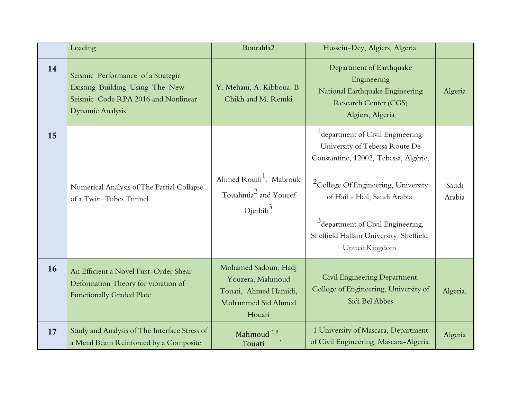|    | Loading                                                                                                                          | Bourahla2                                                                                         | Hussein-Dey, Algiers, Algeria.                                                                                                                                                                                                                                                                                 |                 |
|----|----------------------------------------------------------------------------------------------------------------------------------|---------------------------------------------------------------------------------------------------|----------------------------------------------------------------------------------------------------------------------------------------------------------------------------------------------------------------------------------------------------------------------------------------------------------------|-----------------|
| 14 | Seismic Performance of a Strategic<br>Existing Building Using The New<br>Seismic Code RPA 2016 and Nonlinear<br>Dynamic Analysis | Y. Mehani, A. Kibboua, B.<br>Chikh and M. Remki                                                   | Department of Earthquake<br>Engineering<br>National Earthquake Engineering<br><b>Research Center (CGS)</b><br>Algiers, Algeria                                                                                                                                                                                 | Algeria         |
| 15 | Numerical Analysis of The Partial Collapse<br>of a Twin-Tubes Tunnel                                                             | Ahmed Rouili <sup>1</sup> , Mabrouk<br>Touahmia <sup>2</sup> and Youcef<br>Dierbib <sup>3</sup>   | <sup>1</sup> department of Civil Engineering,<br>University of Tebessa Route De<br>Constantine, 12002, Tebessa, Algérie.<br>${}^{2}$ College Of Engineering, University<br>of Hail - Hail, Saudi Arabia.<br>$3$ department of Civil Engineering,<br>Sheffield Hallam University, Sheffield,<br>United Kingdom. | Saudi<br>Arabia |
| 16 | An Efficient a Novel First-Order Shear<br>Deformation Theory for vibration of<br><b>Functionally Graded Plate</b>                | Mohamed Sadoun, Hadj<br>Youzera, Mahmoud<br>Touati, Ahmed Hamidi,<br>Mohammed Sid Ahmed<br>Houari | Civil Engineering Department,<br>College of Engineering, University of<br>Sidi Bel Abbes                                                                                                                                                                                                                       | Algeria.        |
| 17 | Study and Analysis of The Interface Stress of<br>a Metal Beam Reinforced by a Composite                                          | Mahmoud <sup>1,3</sup><br>Touati                                                                  | 1 University of Mascara, Department<br>of Civil Engineering, Mascara-Algeria.                                                                                                                                                                                                                                  | Algeria         |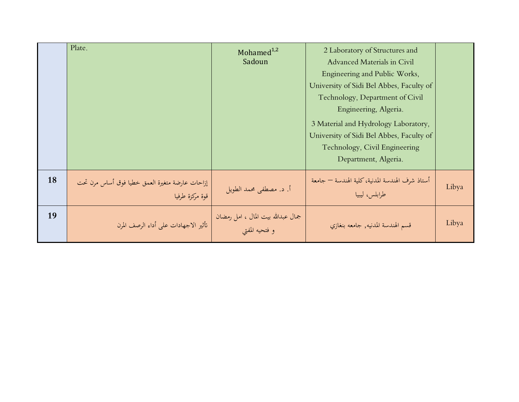|    | Plate.                                                             | Mohamed $1,2$<br>Sadoun                              | 2 Laboratory of Structures and<br>Advanced Materials in Civil<br>Engineering and Public Works,<br>University of Sidi Bel Abbes, Faculty of<br>Technology, Department of Civil<br>Engineering, Algeria.<br>3 Material and Hydrology Laboratory,<br>University of Sidi Bel Abbes, Faculty of<br>Technology, Civil Engineering<br>Department, Algeria. |       |
|----|--------------------------------------------------------------------|------------------------------------------------------|-----------------------------------------------------------------------------------------------------------------------------------------------------------------------------------------------------------------------------------------------------------------------------------------------------------------------------------------------------|-------|
| 18 | إزاحات عارضة متغيرة العمق خطيا فوق أساس مرن تحت<br>قوة مركزة طرفيا | أ. د. مصطفى محمد الطويل                              | أستاذ شرف الهندسة المدنية، كلية الهندسة — جامعة<br>طرابلس، ليبيا                                                                                                                                                                                                                                                                                    | Libya |
| 19 | تأثير الاجهادات على أداء الرصف المرن                               | جمال عبدالله بيت المال ، امل رمضان<br>و فتحيه المفتى | قسم الهندسة المدنيه, جامعه بنغازي                                                                                                                                                                                                                                                                                                                   | Libya |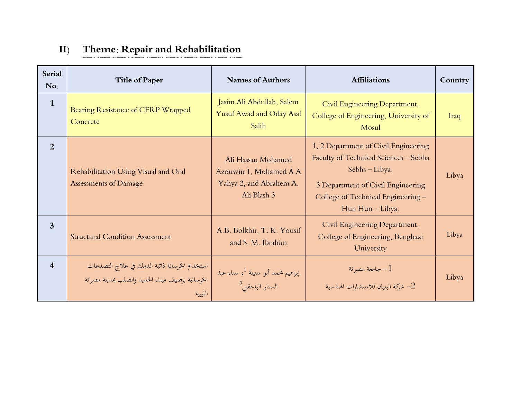### **II) Theme: Repair and Rehabilitation**

| <b>Serial</b><br>No.    | <b>Title of Paper</b>                                                                                         | <b>Names of Authors</b>                                                                | <b>Affiliations</b>                                                                                                                                                                            | Country |
|-------------------------|---------------------------------------------------------------------------------------------------------------|----------------------------------------------------------------------------------------|------------------------------------------------------------------------------------------------------------------------------------------------------------------------------------------------|---------|
| $\mathbf{1}$            | Bearing Resistance of CFRP Wrapped<br>Concrete                                                                | Jasim Ali Abdullah, Salem<br>Yusuf Awad and Oday Asal<br>Salih                         | Civil Engineering Department,<br>College of Engineering, University of<br>Mosul                                                                                                                | Iraq    |
| $\overline{2}$          | Rehabilitation Using Visual and Oral<br>Assessments of Damage                                                 | Ali Hassan Mohamed<br>Azouwin 1, Mohamed A A<br>Yahya 2, and Abrahem A.<br>Ali Blash 3 | 1, 2 Department of Civil Engineering<br>Faculty of Technical Sciences - Sebha<br>Sebhs - Libya.<br>3 Department of Civil Engineering<br>College of Technical Engineering -<br>Hun Hun - Libya. | Libya   |
| 3                       | <b>Structural Condition Assessment</b>                                                                        | A.B. Bolkhir, T. K. Yousif<br>and S. M. Ibrahim                                        | Civil Engineering Department,<br>College of Engineering, Benghazi<br>University                                                                                                                | Libya   |
| $\overline{\mathbf{4}}$ | استخدام الخرسانة ذاتية الدمك في علاج التصدعات<br>الخرسانية برصيف ميناء الحديد والصلب بمدينة مصراتة<br>الليبية | إبراهيم محمد أبو سنينة <sup>1</sup> ، سناء عبد<br>الستار الباجقني <sup>2</sup>         | جامعة مصراتة $-1$<br>ستشارات الهندسية (من العندسية – 2                                                                                                                                         | Libya   |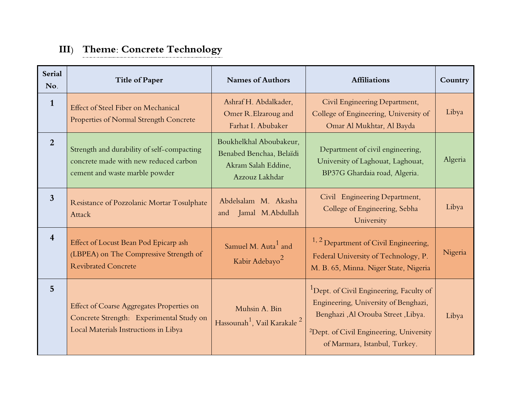# **III) Theme: Concrete Technology**

| <b>Serial</b><br>No.    | <b>Title of Paper</b>                                                                                                                 | <b>Names of Authors</b>                                                                      | <b>Affiliations</b>                                                                                                                                                                                                         | Country |
|-------------------------|---------------------------------------------------------------------------------------------------------------------------------------|----------------------------------------------------------------------------------------------|-----------------------------------------------------------------------------------------------------------------------------------------------------------------------------------------------------------------------------|---------|
| $\mathbf{1}$            | Effect of Steel Fiber on Mechanical<br>Properties of Normal Strength Concrete                                                         | Ashraf H. Abdalkader,<br>Omer R.Elzaroug and<br>Farhat I. Abubaker                           | Civil Engineering Department,<br>College of Engineering, University of<br>Omar Al Mukhtar, Al Bayda                                                                                                                         | Libya   |
| $\overline{2}$          | Strength and durability of self-compacting<br>concrete made with new reduced carbon<br>cement and waste marble powder                 | Boukhelkhal Aboubakeur,<br>Benabed Benchaa, Belaïdi<br>Akram Salah Eddine,<br>Azzouz Lakhdar | Department of civil engineering,<br>University of Laghouat, Laghouat,<br>BP37G Ghardaia road, Algeria.                                                                                                                      | Algeria |
| $\mathbf{3}$            | Resistance of Pozzolanic Mortar Tosulphate<br>Attack                                                                                  | Abdelsalam M. Akasha<br>Jamal M.Abdullah<br>and                                              | Civil Engineering Department,<br>College of Engineering, Sebha<br>University                                                                                                                                                | Libya   |
| $\overline{\mathbf{4}}$ | Effect of Locust Bean Pod Epicarp ash<br>(LBPEA) on The Compressive Strength of<br><b>Revibrated Concrete</b>                         | Samuel M. Auta <sup>1</sup> and<br>Kabir Adebayo <sup>2</sup>                                | $1, 2$ Department of Civil Engineering,<br>Federal University of Technology, P.<br>M. B. 65, Minna. Niger State, Nigeria                                                                                                    | Nigeria |
| $5\overline{)}$         | <b>Effect of Coarse Aggregates Properties on</b><br>Concrete Strength: Experimental Study on<br>Local Materials Instructions in Libya | Muhsin A. Bin<br>Hassounah <sup>1</sup> , Vail Karakale <sup>2</sup>                         | <sup>1</sup> Dept. of Civil Engineering, Faculty of<br>Engineering, University of Benghazi,<br>Benghazi , Al Orouba Street , Libya.<br><sup>2</sup> Dept. of Civil Engineering, University<br>of Marmara, Istanbul, Turkey. | Libya   |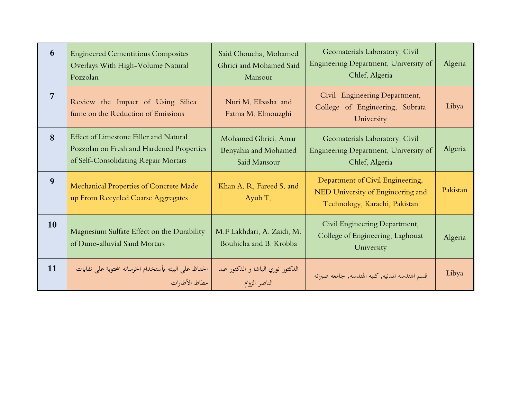| 6              | <b>Engineered Cementitious Composites</b><br>Overlays With High-Volume Natural<br>Pozzolan                                  | Said Choucha, Mohamed<br>Ghrici and Mohamed Said<br>Mansour  | Geomaterials Laboratory, Civil<br>Engineering Department, University of<br>Chlef, Algeria              | Algeria  |
|----------------|-----------------------------------------------------------------------------------------------------------------------------|--------------------------------------------------------------|--------------------------------------------------------------------------------------------------------|----------|
| $\overline{7}$ | Review the Impact of Using Silica<br>fume on the Reduction of Emissions                                                     | Nuri M. Elbasha and<br>Fatma M. Elmouzghi                    | Civil Engineering Department,<br>College of Engineering, Subrata<br>University                         | Libya    |
| 8              | Effect of Limestone Filler and Natural<br>Pozzolan on Fresh and Hardened Properties<br>of Self-Consolidating Repair Mortars | Mohamed Ghrici, Amar<br>Benyahia and Mohamed<br>Said Mansour | Geomaterials Laboratory, Civil<br>Engineering Department, University of<br>Chlef, Algeria              | Algeria  |
| 9              | Mechanical Properties of Concrete Made<br>up From Recycled Coarse Aggregates                                                | Khan A. R, Fareed S. and<br>Ayub T.                          | Department of Civil Engineering,<br>NED University of Engineering and<br>Technology, Karachi, Pakistan | Pakistan |
| 10             | Magnesium Sulfate Effect on the Durability<br>of Dune-alluvial Sand Mortars                                                 | M.F Lakhdari, A. Zaidi, M.<br>Bouhicha and B. Krobba         | Civil Engineering Department,<br>College of Engineering, Laghouat<br>University                        | Algeria  |
| 11             | الحفاظ على البيئه بأستخدام الخرسانه المحتوية على نفايات<br>مطاط الأطارات                                                    | الدكتور نوري الباشا و الدكتور عبد<br>الناصر الزوام           | قسم الهندسه المدنيه, كليه الهندسه, جامعه صبرانه                                                        | Libya    |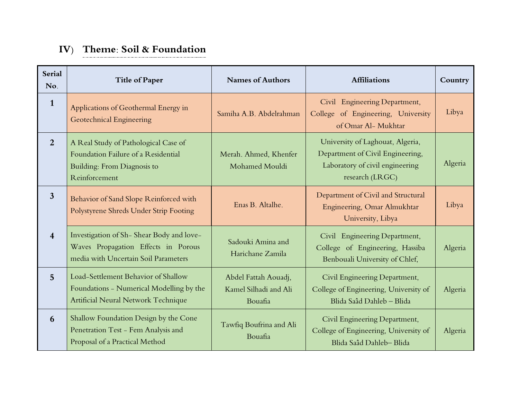#### **IV) Theme: Soil & Foundation**

| <b>Serial</b><br>No.    | <b>Title of Paper</b>                                                                                                       | <b>Names of Authors</b>                                  | <b>Affiliations</b>                                                                                                        | Country |
|-------------------------|-----------------------------------------------------------------------------------------------------------------------------|----------------------------------------------------------|----------------------------------------------------------------------------------------------------------------------------|---------|
| $\mathbf{1}$            | Applications of Geothermal Energy in<br>Geotechnical Engineering                                                            | Samiha A.B. Abdelrahman                                  | Civil Engineering Department,<br>College of Engineering, University<br>of Omar Al- Mukhtar                                 | Libya   |
| 2                       | A Real Study of Pathological Case of<br>Foundation Failure of a Residential<br>Building: From Diagnosis to<br>Reinforcement | Merah. Ahmed, Khenfer<br>Mohamed Mouldi                  | University of Laghouat, Algeria,<br>Department of Civil Engineering,<br>Laboratory of civil engineering<br>research (LRGC) | Algeria |
| $\overline{3}$          | Behavior of Sand Slope Reinforced with<br>Polystyrene Shreds Under Strip Footing                                            | Enas B. Altalhe.                                         | Department of Civil and Structural<br>Engineering, Omar Almukhtar<br>University, Libya                                     | Libya   |
| $\overline{\mathbf{4}}$ | Investigation of Sh-Shear Body and love-<br>Waves Propagation Effects in Porous<br>media with Uncertain Soil Parameters     | Sadouki Amina and<br>Harichane Zamila                    | Civil Engineering Department,<br>College of Engineering, Hassiba<br>Benbouali University of Chlef,                         | Algeria |
| $\overline{5}$          | Load-Settlement Behavior of Shallow<br>Foundations - Numerical Modelling by the<br>Artificial Neural Network Technique      | Abdel Fattah Aouadj,<br>Kamel Silhadi and Ali<br>Bouafia | Civil Engineering Department,<br>College of Engineering, University of<br>Blida Saâd Dahleb - Blida                        | Algeria |
| 6                       | Shallow Foundation Design by the Cone<br>Penetration Test - Fem Analysis and<br>Proposal of a Practical Method              | Tawfiq Boufrina and Ali<br>Bouafia                       | Civil Engineering Department,<br>College of Engineering, University of<br>Blida Saâd Dahleb-Blida                          | Algeria |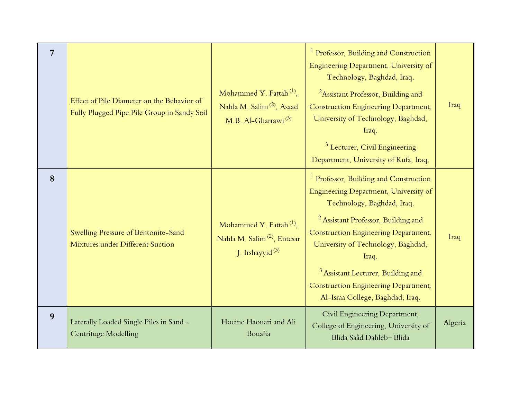| 7 | Effect of Pile Diameter on the Behavior of<br>Fully Plugged Pipe Pile Group in Sandy Soil | Mohammed Y. Fattah <sup>(1)</sup> ,<br>Nahla M. Salim <sup>(2)</sup> , Asaad<br>M.B. Al-Gharrawi <sup>(3)</sup> | <sup>1</sup> Professor, Building and Construction<br>Engineering Department, University of<br>Technology, Baghdad, Iraq.<br><sup>2</sup> Assistant Professor, Building and<br><b>Construction Engineering Department,</b><br>University of Technology, Baghdad,<br>Iraq.<br><sup>3</sup> Lecturer, Civil Engineering<br>Department, University of Kufa, Iraq.                                                | Iraq    |
|---|-------------------------------------------------------------------------------------------|-----------------------------------------------------------------------------------------------------------------|--------------------------------------------------------------------------------------------------------------------------------------------------------------------------------------------------------------------------------------------------------------------------------------------------------------------------------------------------------------------------------------------------------------|---------|
| 8 | Swelling Pressure of Bentonite-Sand<br>Mixtures under Different Suction                   | Mohammed Y. Fattah <sup>(1)</sup> ,<br>Nahla M. Salim <sup>(2)</sup> , Entesar<br>J. Irshayyid <sup>(3)</sup>   | <sup>1</sup> Professor, Building and Construction<br>Engineering Department, University of<br>Technology, Baghdad, Iraq.<br><sup>2</sup> Assistant Professor, Building and<br><b>Construction Engineering Department,</b><br>University of Technology, Baghdad,<br>Iraq.<br><sup>3</sup> Assistant Lecturer, Building and<br><b>Construction Engineering Department,</b><br>Al-Israa College, Baghdad, Iraq. | Iraq    |
| 9 | Laterally Loaded Single Piles in Sand -<br>Centrifuge Modelling                           | Hocine Haouari and Ali<br>Bouafia                                                                               | Civil Engineering Department,<br>College of Engineering, University of<br>Blida Saâd Dahleb-Blida                                                                                                                                                                                                                                                                                                            | Algeria |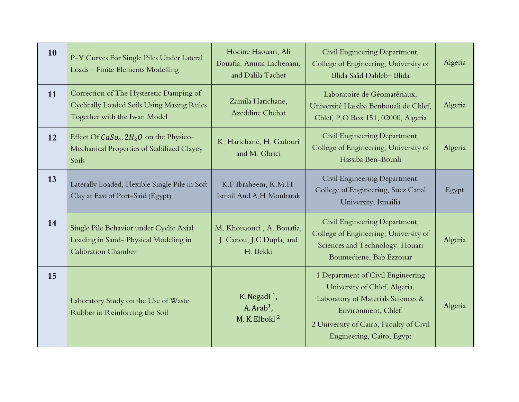| 10 | P-Y Curves For Single Piles Under Lateral<br>Loads - Finite Elements Modelling                                        | Hocine Haouari, Ali<br>Bouafia, Amina Lachenani,<br>and Dalila Tachet | Civil Engineering Department,<br>College of Engineering, University of<br>Blida Saâd Dahleb-Blida                                                                                                       | Algeria |
|----|-----------------------------------------------------------------------------------------------------------------------|-----------------------------------------------------------------------|---------------------------------------------------------------------------------------------------------------------------------------------------------------------------------------------------------|---------|
| 11 | Correction of The Hysteretic Damping of<br>Cyclically Loaded Soils Using Masing Rules<br>Together with the Iwan Model | Zamila Harichane,<br>Azeddine Chehat                                  | Laboratoire de Géomatériaux,<br>Université Hassiba Benbouali de Chlef,<br>Chlef, P.O Box 151, 02000, Algeria                                                                                            | Algeria |
| 12 | Effect Of $CaSo4$ . $2H2O$ on the Physico-<br>Mechanical Properties of Stabilized Clayey<br>Soils                     | K. Harichane, H. Gadouri<br>and M. Ghrici                             | Civil Engineering Department,<br>College of Engineering, University of<br>Hassiba Ben-Bouali                                                                                                            | Algeria |
| 13 | Laterally Loaded, Flexible Single Pile in Soft<br>Clay at East of Port-Said (Egypt)                                   | K.F.Ibraheem, K.M.H.<br>Ismail And A.H.Moubarak                       | Civil Engineering Department,<br>College of Engineering, Suez Canal<br>University, Ismailia                                                                                                             | Egypt   |
| 14 | Single Pile Behavior under Cyclic Axial<br>Loading in Sand-Physical Modeling in<br><b>Calibration Chamber</b>         | M. Khouaouci, A. Bouafia,<br>J. Canou, J.C Dupla, and<br>H. Bekki     | Civil Engineering Department,<br>College of Engineering, University of<br>Sciences and Technology, Houari<br>Boumediene, Bab Ezzouar                                                                    | Algeria |
| 15 | Laboratory Study on the Use of Waste<br>Rubber in Reinforcing the Soil                                                | K. Negadi <sup>1</sup> ,<br>A. $Arab1$ ,<br>M. K. Elbokl <sup>2</sup> | 1 Department of Civil Engineering<br>University of Chlef. Algeria.<br>Laboratory of Materials Sciences &<br>Environment, Chlef.<br>2 University of Cairo, Faculty of Civil<br>Engineering, Cairo, Egypt | Algeria |